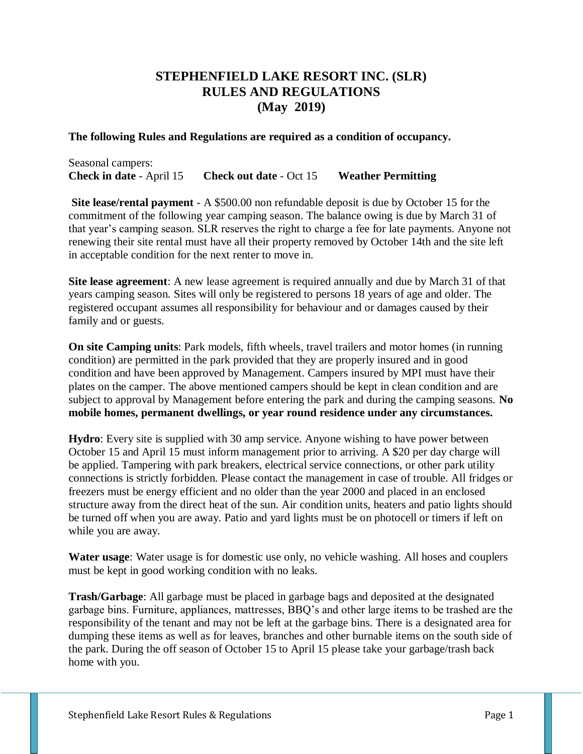# **STEPHENFIELD LAKE RESORT INC. (SLR) RULES AND REGULATIONS (May 2019)**

#### **The following Rules and Regulations are required as a condition of occupancy.**

Seasonal campers: **Check in date** - April 15 **Check out date** - Oct 15 **Weather Permitting**

**Site lease/rental payment** - A \$500.00 non refundable deposit is due by October 15 for the commitment of the following year camping season. The balance owing is due by March 31 of that year's camping season. SLR reserves the right to charge a fee for late payments. Anyone not renewing their site rental must have all their property removed by October 14th and the site left in acceptable condition for the next renter to move in.

**Site lease agreement**: A new lease agreement is required annually and due by March 31 of that years camping season. Sites will only be registered to persons 18 years of age and older. The registered occupant assumes all responsibility for behaviour and or damages caused by their family and or guests.

**On site Camping units**: Park models, fifth wheels, travel trailers and motor homes (in running condition) are permitted in the park provided that they are properly insured and in good condition and have been approved by Management. Campers insured by MPI must have their plates on the camper. The above mentioned campers should be kept in clean condition and are subject to approval by Management before entering the park and during the camping seasons. **No mobile homes, permanent dwellings, or year round residence under any circumstances.** 

**Hydro**: Every site is supplied with 30 amp service. Anyone wishing to have power between October 15 and April 15 must inform management prior to arriving. A \$20 per day charge will be applied. Tampering with park breakers, electrical service connections, or other park utility connections is strictly forbidden. Please contact the management in case of trouble. All fridges or freezers must be energy efficient and no older than the year 2000 and placed in an enclosed structure away from the direct heat of the sun. Air condition units, heaters and patio lights should be turned off when you are away. Patio and yard lights must be on photocell or timers if left on while you are away.

**Water usage**: Water usage is for domestic use only, no vehicle washing. All hoses and couplers must be kept in good working condition with no leaks.

**Trash/Garbage**: All garbage must be placed in garbage bags and deposited at the designated garbage bins. Furniture, appliances, mattresses, BBQ's and other large items to be trashed are the responsibility of the tenant and may not be left at the garbage bins. There is a designated area for dumping these items as well as for leaves, branches and other burnable items on the south side of the park. During the off season of October 15 to April 15 please take your garbage/trash back home with you.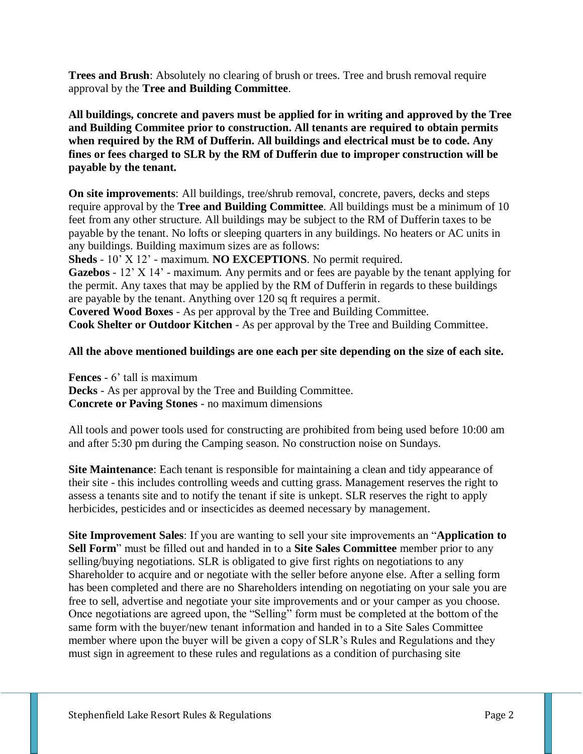**Trees and Brush**: Absolutely no clearing of brush or trees. Tree and brush removal require approval by the **Tree and Building Committee**.

**All buildings, concrete and pavers must be applied for in writing and approved by the Tree and Building Commitee prior to construction. All tenants are required to obtain permits when required by the RM of Dufferin. All buildings and electrical must be to code. Any fines or fees charged to SLR by the RM of Dufferin due to improper construction will be payable by the tenant.** 

**On site improvements**: All buildings, tree/shrub removal, concrete, pavers, decks and steps require approval by the **Tree and Building Committee**. All buildings must be a minimum of 10 feet from any other structure. All buildings may be subject to the RM of Dufferin taxes to be payable by the tenant. No lofts or sleeping quarters in any buildings. No heaters or AC units in any buildings. Building maximum sizes are as follows:

**Sheds** - 10' X 12' - maximum. **NO EXCEPTIONS**. No permit required.

**Gazebos** - 12' X 14' - maximum. Any permits and or fees are payable by the tenant applying for the permit. Any taxes that may be applied by the RM of Dufferin in regards to these buildings are payable by the tenant. Anything over 120 sq ft requires a permit.

**Covered Wood Boxes** - As per approval by the Tree and Building Committee. **Cook Shelter or Outdoor Kitchen** - As per approval by the Tree and Building Committee.

# **All the above mentioned buildings are one each per site depending on the size of each site.**

**Fences** - 6' tall is maximum **Decks** - As per approval by the Tree and Building Committee. **Concrete or Paving Stones** - no maximum dimensions

All tools and power tools used for constructing are prohibited from being used before 10:00 am and after 5:30 pm during the Camping season. No construction noise on Sundays.

**Site Maintenance**: Each tenant is responsible for maintaining a clean and tidy appearance of their site - this includes controlling weeds and cutting grass. Management reserves the right to assess a tenants site and to notify the tenant if site is unkept. SLR reserves the right to apply herbicides, pesticides and or insecticides as deemed necessary by management.

**Site Improvement Sales**: If you are wanting to sell your site improvements an "**Application to Sell Form**" must be filled out and handed in to a **Site Sales Committee** member prior to any selling/buying negotiations. SLR is obligated to give first rights on negotiations to any Shareholder to acquire and or negotiate with the seller before anyone else. After a selling form has been completed and there are no Shareholders intending on negotiating on your sale you are free to sell, advertise and negotiate your site improvements and or your camper as you choose. Once negotiations are agreed upon, the "Selling" form must be completed at the bottom of the same form with the buyer/new tenant information and handed in to a Site Sales Committee member where upon the buyer will be given a copy of SLR's Rules and Regulations and they must sign in agreement to these rules and regulations as a condition of purchasing site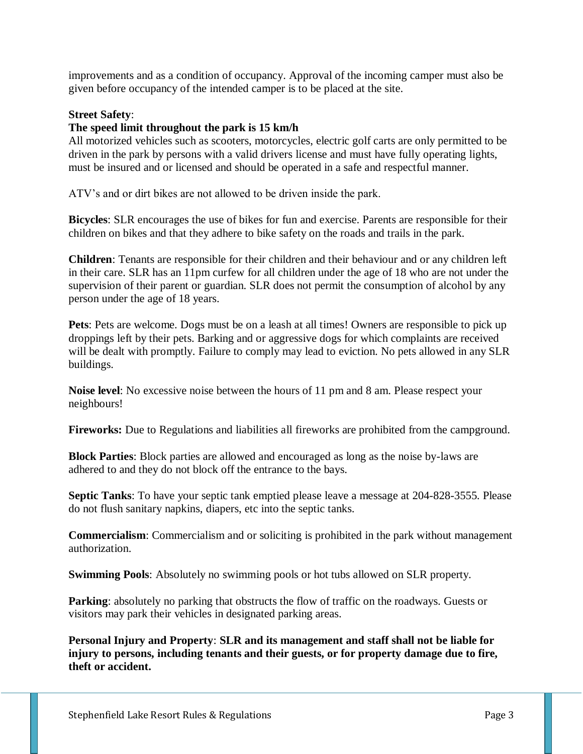improvements and as a condition of occupancy. Approval of the incoming camper must also be given before occupancy of the intended camper is to be placed at the site.

## **Street Safety**:

## **The speed limit throughout the park is 15 km/h**

All motorized vehicles such as scooters, motorcycles, electric golf carts are only permitted to be driven in the park by persons with a valid drivers license and must have fully operating lights, must be insured and or licensed and should be operated in a safe and respectful manner.

ATV's and or dirt bikes are not allowed to be driven inside the park.

**Bicycles**: SLR encourages the use of bikes for fun and exercise. Parents are responsible for their children on bikes and that they adhere to bike safety on the roads and trails in the park.

**Children**: Tenants are responsible for their children and their behaviour and or any children left in their care. SLR has an 11pm curfew for all children under the age of 18 who are not under the supervision of their parent or guardian. SLR does not permit the consumption of alcohol by any person under the age of 18 years.

**Pets**: Pets are welcome. Dogs must be on a leash at all times! Owners are responsible to pick up droppings left by their pets. Barking and or aggressive dogs for which complaints are received will be dealt with promptly. Failure to comply may lead to eviction. No pets allowed in any SLR buildings.

**Noise level**: No excessive noise between the hours of 11 pm and 8 am. Please respect your neighbours!

**Fireworks:** Due to Regulations and liabilities all fireworks are prohibited from the campground.

**Block Parties**: Block parties are allowed and encouraged as long as the noise by-laws are adhered to and they do not block off the entrance to the bays.

**Septic Tanks**: To have your septic tank emptied please leave a message at 204-828-3555. Please do not flush sanitary napkins, diapers, etc into the septic tanks.

**Commercialism**: Commercialism and or soliciting is prohibited in the park without management authorization.

**Swimming Pools**: Absolutely no swimming pools or hot tubs allowed on SLR property.

**Parking**: absolutely no parking that obstructs the flow of traffic on the roadways. Guests or visitors may park their vehicles in designated parking areas.

**Personal Injury and Property**: **SLR and its management and staff shall not be liable for injury to persons, including tenants and their guests, or for property damage due to fire, theft or accident.**